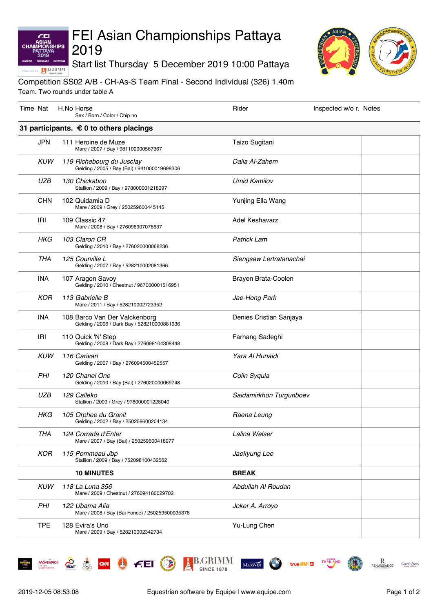# FEI Asian Championships Pattaya 2019

Start list Thursday 5 December 2019 10:00 Pattaya



### Competition SS02 A/B - CH-As-S Team Final - Second Individual (326) 1.40m Team. Two rounds under table A

| Time Nat |            | H.No Horse<br>Sex / Born / Color / Chip no                                   | Rider                   | Inspected w/o r. Notes |
|----------|------------|------------------------------------------------------------------------------|-------------------------|------------------------|
|          |            | 31 participants. $\epsilon$ 0 to others placings                             |                         |                        |
|          | <b>JPN</b> | 111 Heroine de Muze<br>Mare / 2007 / Bay / 981100000567367                   | Taizo Sugitani          |                        |
|          | <b>KUW</b> | 119 Richebourg du Jusclay<br>Gelding / 2005 / Bay (Bai) / 941000019698306    | Dalia Al-Zahem          |                        |
|          | <b>UZB</b> | 130 Chickaboo<br>Stallion / 2009 / Bay / 978000001218097                     | <b>Umid Kamilov</b>     |                        |
|          | <b>CHN</b> | 102 Quidamia D<br>Mare / 2009 / Grey / 250259600445145                       | Yunjing Ella Wang       |                        |
|          | <b>IRI</b> | 109 Classic 47<br>Mare / 2008 / Bay / 276096907076637                        | Adel Keshavarz          |                        |
|          | HKG        | 103 Claron CR<br>Gelding / 2010 / Bay / 276020000068236                      | <b>Patrick Lam</b>      |                        |
|          | <b>THA</b> | 125 Courville L<br>Gelding / 2007 / Bay / 528210002081366                    | Siengsaw Lertratanachai |                        |
|          | <b>INA</b> | 107 Aragon Savoy<br>Gelding / 2010 / Chestnut / 967000001516951              | Brayen Brata-Coolen     |                        |
|          | <b>KOR</b> | 113 Gabrielle B<br>Mare / 2011 / Bay / 528210002723352                       | Jae-Hong Park           |                        |
|          | INA        | 108 Barco Van Der Valckenborg<br>Gelding / 2006 / Dark Bay / 528210000881936 | Denies Cristian Sanjaya |                        |
|          | IRI        | 110 Quick 'N' Step<br>Gelding / 2008 / Dark Bay / 276098104308448            | Farhang Sadeghi         |                        |
|          | <b>KUW</b> | 116 Carivari<br>Gelding / 2007 / Bay / 276094500452557                       | Yara Al Hunaidi         |                        |
|          | <b>PHI</b> | 120 Chanel One<br>Gelding / 2010 / Bay (Bai) / 276020000069748               | Colin Syquia            |                        |
|          | <b>UZB</b> | 129 Calleko<br>Stallion / 2009 / Grey / 978000001228040                      | Saidamirkhon Turgunboev |                        |
|          | <b>HKG</b> | 105 Orphee du Granit<br>Gelding / 2002 / Bay / 250259600204134               | Raena Leung             |                        |
|          | <b>THA</b> | 124 Corrada d'Enfer<br>Mare / 2007 / Bay (Bai) / 250259600418977             | Lalina Welser           |                        |
|          | KOR        | 115 Pommeau Jbp<br>Stallion / 2009 / Bay / 752098100432562                   | Jaekyung Lee            |                        |
|          |            | <b>10 MINUTES</b>                                                            | <b>BREAK</b>            |                        |
|          | <b>KUW</b> | 118 La Luna 356<br>Mare / 2009 / Chestnut / 276094180029702                  | Abdullah Al Roudan      |                        |
|          | PHI        | 122 Ubama Alia<br>Mare / 2008 / Bay (Bai Fonce) / 250259500035378            | Joker A. Arroyo         |                        |
|          | <b>TPE</b> | 128 Evira's Uno<br>Mare / 2009 / Bay / 528210002342734                       | Yu-Lung Chen            |                        |

**MÖVENPICK** 

 $\mathcal{L}_{\mathsf{A}\mathsf{T}}$ 

க்

ÆEI ASIAN<br>CHAMPION

**HIPS** 

B.GRIMM

 $MAXWIN$ 

**A B.GRIMM** 

**SINCE 1878** 

 $f<sub>eff</sub>$ 

 $\mathcal{P}$ 

**CAN** (

Centre Foint

 $\underset{\text{renaisance}}{R}$ 

THAIL

true 4U 2